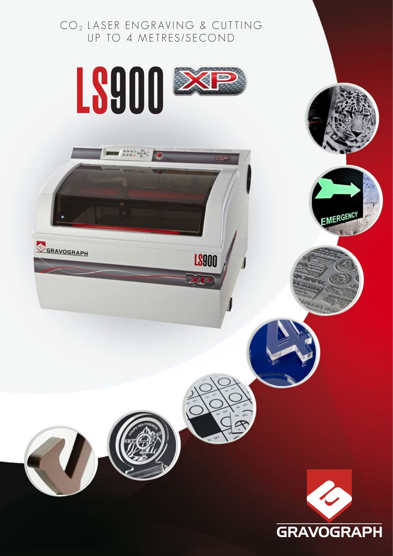